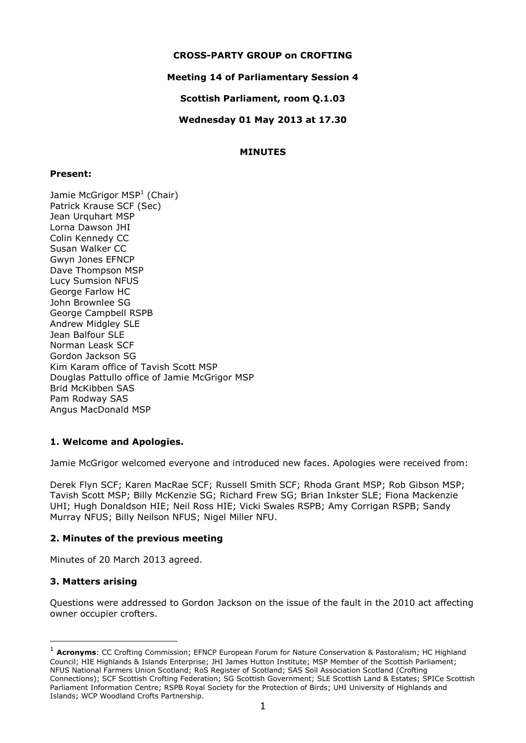### **CROSS-PARTY GROUP on CROFTING**

### **Meeting 14 of Parliamentary Session 4**

**Scottish Parliament, room Q.1.03**

**Wednesday 01 May 2013 at 17.30**

### **MINUTES**

### **Present:**

Jamie McGrigor MSP<sup>1</sup> (Chair) Patrick Krause SCF (Sec) Jean Urquhart MSP Lorna Dawson JHI Colin Kennedy CC Susan Walker CC Gwyn Jones EFNCP Dave Thompson MSP Lucy Sumsion NFUS George Farlow HC John Brownlee SG George Campbell RSPB Andrew Midgley SLE Jean Balfour SLE Norman Leask SCF Gordon Jackson SG Kim Karam office of Tavish Scott MSP Douglas Pattullo office of Jamie McGrigor MSP Brid McKibben SAS Pam Rodway SAS Angus MacDonald MSP

# **1. Welcome and Apologies.**

Jamie McGrigor welcomed everyone and introduced new faces. Apologies were received from:

Derek Flyn SCF; Karen MacRae SCF; Russell Smith SCF; Rhoda Grant MSP; Rob Gibson MSP; Tavish Scott MSP; Billy McKenzie SG; Richard Frew SG; Brian Inkster SLE; Fiona Mackenzie UHI; Hugh Donaldson HIE; Neil Ross HIE; Vicki Swales RSPB; Amy Corrigan RSPB; Sandy Murray NFUS; Billy Neilson NFUS; Nigel Miller NFU.

### **2. Minutes of the previous meeting**

Minutes of 20 March 2013 agreed.

### **3. Matters arising**

-

Questions were addressed to Gordon Jackson on the issue of the fault in the 2010 act affecting owner occupier crofters.

<sup>&</sup>lt;sup>1</sup> **Acronyms**: CC Crofting Commission; EFNCP European Forum for Nature Conservation & Pastoralism; HC Highland Council; HIE Highlands & Islands Enterprise; JHI James Hutton Institute; MSP Member of the Scottish Parliament; NFUS National Farmers Union Scotland; RoS Register of Scotland; SAS Soil Association Scotland (Crofting Connections); SCF Scottish Crofting Federation; SG Scottish Government; SLE Scottish Land & Estates; SPICe Scottish Parliament Information Centre; RSPB Royal Society for the Protection of Birds; UHI University of Highlands and Islands; WCP Woodland Crofts Partnership.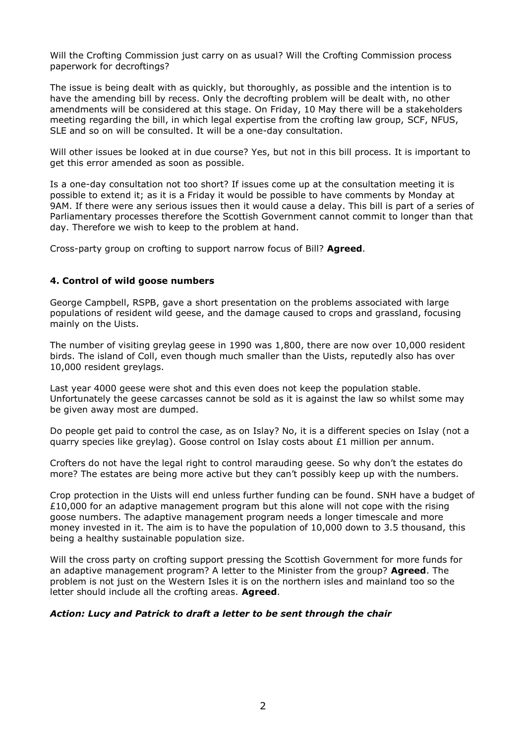Will the Crofting Commission just carry on as usual? Will the Crofting Commission process paperwork for decroftings?

The issue is being dealt with as quickly, but thoroughly, as possible and the intention is to have the amending bill by recess. Only the decrofting problem will be dealt with, no other amendments will be considered at this stage. On Friday, 10 May there will be a stakeholders meeting regarding the bill, in which legal expertise from the crofting law group, SCF, NFUS, SLE and so on will be consulted. It will be a one-day consultation.

Will other issues be looked at in due course? Yes, but not in this bill process. It is important to get this error amended as soon as possible.

Is a one-day consultation not too short? If issues come up at the consultation meeting it is possible to extend it; as it is a Friday it would be possible to have comments by Monday at 9AM. If there were any serious issues then it would cause a delay. This bill is part of a series of Parliamentary processes therefore the Scottish Government cannot commit to longer than that day. Therefore we wish to keep to the problem at hand.

Cross-party group on crofting to support narrow focus of Bill? **Agreed**.

### **4. Control of wild goose numbers**

George Campbell, RSPB, gave a short presentation on the problems associated with large populations of resident wild geese, and the damage caused to crops and grassland, focusing mainly on the Uists.

The number of visiting greylag geese in 1990 was 1,800, there are now over 10,000 resident birds. The island of Coll, even though much smaller than the Uists, reputedly also has over 10,000 resident greylags.

Last year 4000 geese were shot and this even does not keep the population stable. Unfortunately the geese carcasses cannot be sold as it is against the law so whilst some may be given away most are dumped.

Do people get paid to control the case, as on Islay? No, it is a different species on Islay (not a quarry species like greylag). Goose control on Islay costs about £1 million per annum.

Crofters do not have the legal right to control marauding geese. So why don't the estates do more? The estates are being more active but they can't possibly keep up with the numbers.

Crop protection in the Uists will end unless further funding can be found. SNH have a budget of £10,000 for an adaptive management program but this alone will not cope with the rising goose numbers. The adaptive management program needs a longer timescale and more money invested in it. The aim is to have the population of 10,000 down to 3.5 thousand, this being a healthy sustainable population size.

Will the cross party on crofting support pressing the Scottish Government for more funds for an adaptive management program? A letter to the Minister from the group? **Agreed**. The problem is not just on the Western Isles it is on the northern isles and mainland too so the letter should include all the crofting areas. **Agreed**.

### *Action: Lucy and Patrick to draft a letter to be sent through the chair*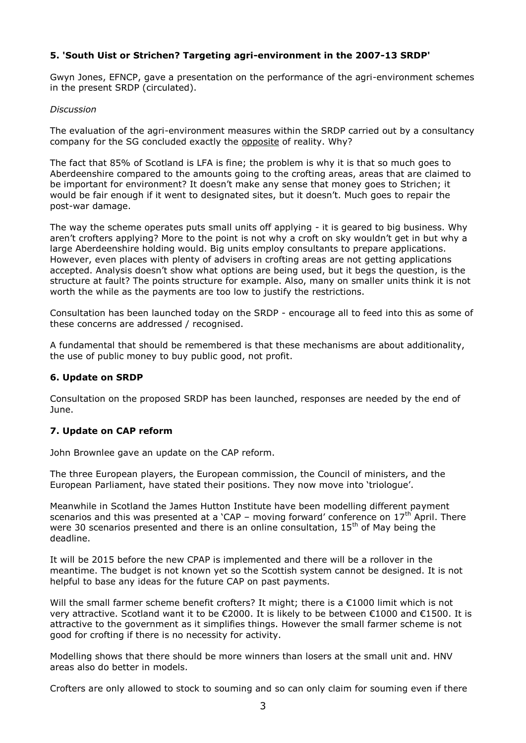# **5. 'South Uist or Strichen? Targeting agri-environment in the 2007-13 SRDP'**

Gwyn Jones, EFNCP, gave a presentation on the performance of the agri-environment schemes in the present SRDP (circulated).

#### *Discussion*

The evaluation of the agri-environment measures within the SRDP carried out by a consultancy company for the SG concluded exactly the opposite of reality. Why?

The fact that 85% of Scotland is LFA is fine; the problem is why it is that so much goes to Aberdeenshire compared to the amounts going to the crofting areas, areas that are claimed to be important for environment? It doesn't make any sense that money goes to Strichen; it would be fair enough if it went to designated sites, but it doesn't. Much goes to repair the post-war damage.

The way the scheme operates puts small units off applying - it is geared to big business. Why aren't crofters applying? More to the point is not why a croft on sky wouldn't get in but why a large Aberdeenshire holding would. Big units employ consultants to prepare applications. However, even places with plenty of advisers in crofting areas are not getting applications accepted. Analysis doesn't show what options are being used, but it begs the question, is the structure at fault? The points structure for example. Also, many on smaller units think it is not worth the while as the payments are too low to justify the restrictions.

Consultation has been launched today on the SRDP - encourage all to feed into this as some of these concerns are addressed / recognised.

A fundamental that should be remembered is that these mechanisms are about additionality, the use of public money to buy public good, not profit.

### **6. Update on SRDP**

Consultation on the proposed SRDP has been launched, responses are needed by the end of June.

### **7. Update on CAP reform**

John Brownlee gave an update on the CAP reform.

The three European players, the European commission, the Council of ministers, and the European Parliament, have stated their positions. They now move into 'triologue'.

Meanwhile in Scotland the James Hutton Institute have been modelling different payment scenarios and this was presented at a 'CAP – moving forward' conference on  $17<sup>th</sup>$  April. There were 30 scenarios presented and there is an online consultation,  $15<sup>th</sup>$  of May being the deadline.

It will be 2015 before the new CPAP is implemented and there will be a rollover in the meantime. The budget is not known yet so the Scottish system cannot be designed. It is not helpful to base any ideas for the future CAP on past payments.

Will the small farmer scheme benefit crofters? It might; there is a €1000 limit which is not very attractive. Scotland want it to be €2000. It is likely to be between €1000 and €1500. It is attractive to the government as it simplifies things. However the small farmer scheme is not good for crofting if there is no necessity for activity.

Modelling shows that there should be more winners than losers at the small unit and. HNV areas also do better in models.

Crofters are only allowed to stock to souming and so can only claim for souming even if there